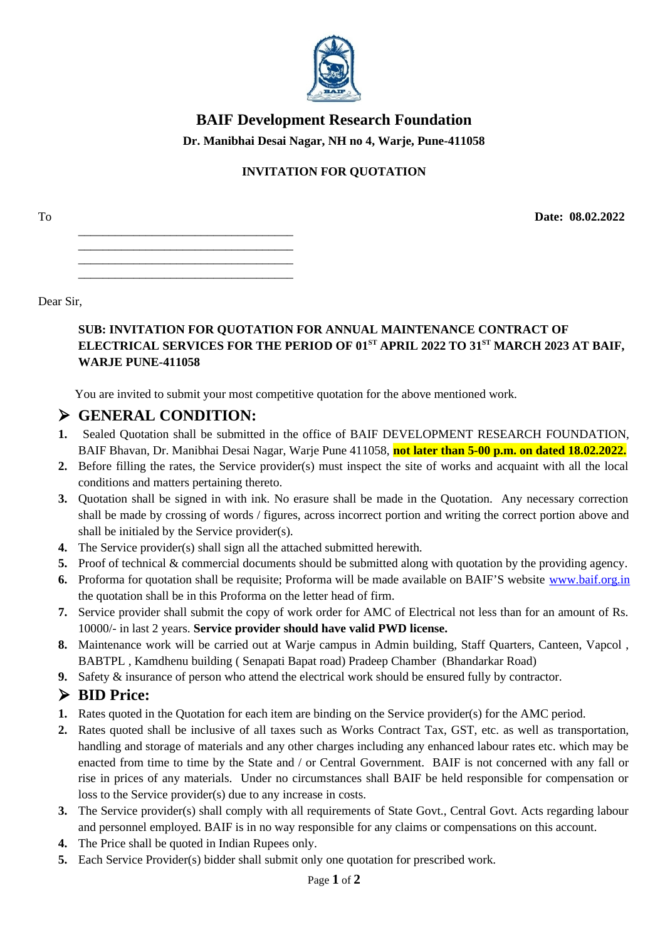

## **BAIF Development Research Foundation**

Dr. Manibhai Desai Nagar, NH no 4, Warje, Pune-411058

## **INVITATION FOR QUOTATION**

T<sub>0</sub>

### Dear Sir.

### SUB: INVITATION FOR QUOTATION FOR ANNUAL MAINTENANCE CONTRACT OF ELECTRICAL SERVICES FOR THE PERIOD OF 01ST APRIL 2022 TO 31ST MARCH 2023 AT BAIF, **WARJE PUNE-411058**

Date: 08.02.2022

You are invited to submit your most competitive quotation for the above mentioned work.

# $\triangleright$  GENERAL CONDITION:

- 1. Sealed Quotation shall be submitted in the office of BAIF DEVELOPMENT RESEARCH FOUNDATION, BAIF Bhavan, Dr. Manibhai Desai Nagar, Warie Pune 411058, not later than 5-00 p.m. on dated 18.02.2022.
- 2. Before filling the rates, the Service provider(s) must inspect the site of works and acquaint with all the local conditions and matters pertaining thereto.
- 3. Quotation shall be signed in with ink. No erasure shall be made in the Quotation. Any necessary correction shall be made by crossing of words / figures, across incorrect portion and writing the correct portion above and shall be initialed by the Service provider(s).
- 4. The Service provider(s) shall sign all the attached submitted herewith.
- 5. Proof of technical & commercial documents should be submitted along with quotation by the providing agency.
- 6. Proforma for quotation shall be requisite; Proforma will be made available on BAIF'S website www.baif.org.in the quotation shall be in this Proforma on the letter head of firm.
- 7. Service provider shall submit the copy of work order for AMC of Electrical not less than for an amount of Rs. 10000/- in last 2 years. Service provider should have valid PWD license.
- 8. Maintenance work will be carried out at Warje campus in Admin building, Staff Quarters, Canteen, Vapcol, BABTPL, Kamdhenu building (Senapati Bapat road) Pradeep Chamber (Bhandarkar Road)
- 9. Safety & insurance of person who attend the electrical work should be ensured fully by contractor.

# > BID Price:

- 1. Rates quoted in the Quotation for each item are binding on the Service provider(s) for the AMC period.
- 2. Rates quoted shall be inclusive of all taxes such as Works Contract Tax, GST, etc. as well as transportation, handling and storage of materials and any other charges including any enhanced labour rates etc. which may be enacted from time to time by the State and / or Central Government. BAIF is not concerned with any fall or rise in prices of any materials. Under no circumstances shall BAIF be held responsible for compensation or loss to the Service provider(s) due to any increase in costs.
- 3. The Service provider(s) shall comply with all requirements of State Govt., Central Govt. Acts regarding labour and personnel employed. BAIF is in no way responsible for any claims or compensations on this account.
- 4. The Price shall be quoted in Indian Rupees only.
- 5. Each Service Provider(s) bidder shall submit only one quotation for prescribed work.